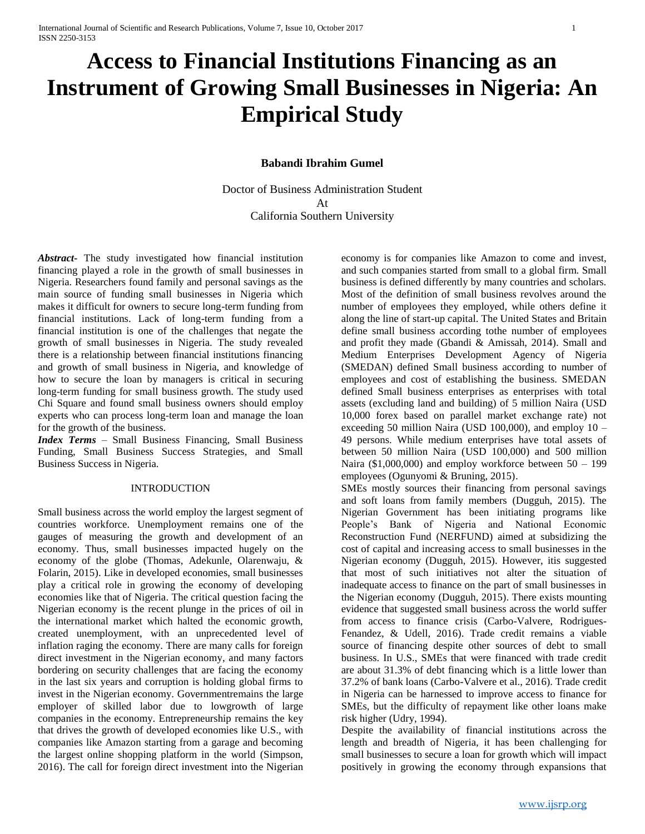# **Access to Financial Institutions Financing as an Instrument of Growing Small Businesses in Nigeria: An Empirical Study**

# **Babandi Ibrahim Gumel**

Doctor of Business Administration Student At California Southern University

*Abstract***-** The study investigated how financial institution financing played a role in the growth of small businesses in Nigeria. Researchers found family and personal savings as the main source of funding small businesses in Nigeria which makes it difficult for owners to secure long-term funding from financial institutions. Lack of long-term funding from a financial institution is one of the challenges that negate the growth of small businesses in Nigeria. The study revealed there is a relationship between financial institutions financing and growth of small business in Nigeria, and knowledge of how to secure the loan by managers is critical in securing long-term funding for small business growth. The study used Chi Square and found small business owners should employ experts who can process long-term loan and manage the loan for the growth of the business.

*Index Terms* – Small Business Financing, Small Business Funding, Small Business Success Strategies, and Small Business Success in Nigeria.

## INTRODUCTION

Small business across the world employ the largest segment of countries workforce. Unemployment remains one of the gauges of measuring the growth and development of an economy. Thus, small businesses impacted hugely on the economy of the globe (Thomas, Adekunle, Olarenwaju, & Folarin, 2015). Like in developed economies, small businesses play a critical role in growing the economy of developing economies like that of Nigeria. The critical question facing the Nigerian economy is the recent plunge in the prices of oil in the international market which halted the economic growth, created unemployment, with an unprecedented level of inflation raging the economy. There are many calls for foreign direct investment in the Nigerian economy, and many factors bordering on security challenges that are facing the economy in the last six years and corruption is holding global firms to invest in the Nigerian economy. Governmentremains the large employer of skilled labor due to lowgrowth of large companies in the economy. Entrepreneurship remains the key that drives the growth of developed economies like U.S., with companies like Amazon starting from a garage and becoming the largest online shopping platform in the world (Simpson, 2016). The call for foreign direct investment into the Nigerian

economy is for companies like Amazon to come and invest, and such companies started from small to a global firm. Small business is defined differently by many countries and scholars. Most of the definition of small business revolves around the number of employees they employed, while others define it along the line of start-up capital. The United States and Britain define small business according tothe number of employees and profit they made (Gbandi & Amissah, 2014). Small and Medium Enterprises Development Agency of Nigeria (SMEDAN) defined Small business according to number of employees and cost of establishing the business. SMEDAN defined Small business enterprises as enterprises with total assets (excluding land and building) of 5 million Naira (USD 10,000 forex based on parallel market exchange rate) not exceeding 50 million Naira (USD 100,000), and employ  $10 -$ 49 persons. While medium enterprises have total assets of between 50 million Naira (USD 100,000) and 500 million Naira ( $$1,000,000$ ) and employ workforce between  $50 - 199$ employees (Ogunyomi & Bruning, 2015).

SMEs mostly sources their financing from personal savings and soft loans from family members (Dugguh, 2015). The Nigerian Government has been initiating programs like People's Bank of Nigeria and National Economic Reconstruction Fund (NERFUND) aimed at subsidizing the cost of capital and increasing access to small businesses in the Nigerian economy (Dugguh, 2015). However, itis suggested that most of such initiatives not alter the situation of inadequate access to finance on the part of small businesses in the Nigerian economy (Dugguh, 2015). There exists mounting evidence that suggested small business across the world suffer from access to finance crisis (Carbo-Valvere, Rodrigues-Fenandez, & Udell, 2016). Trade credit remains a viable source of financing despite other sources of debt to small business. In U.S., SMEs that were financed with trade credit are about 31.3% of debt financing which is a little lower than 37.2% of bank loans (Carbo-Valvere et al., 2016). Trade credit in Nigeria can be harnessed to improve access to finance for SMEs, but the difficulty of repayment like other loans make risk higher (Udry, 1994).

Despite the availability of financial institutions across the length and breadth of Nigeria, it has been challenging for small businesses to secure a loan for growth which will impact positively in growing the economy through expansions that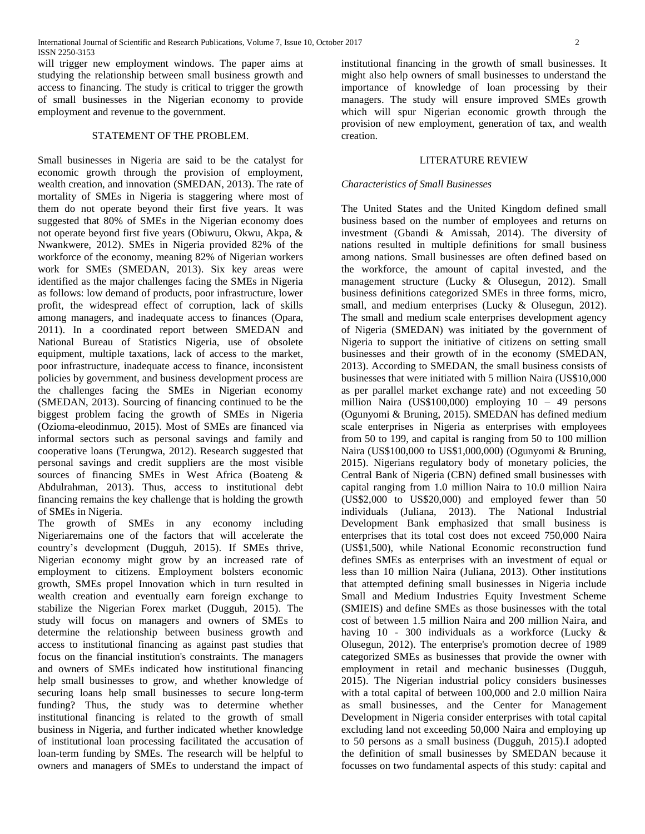will trigger new employment windows. The paper aims at studying the relationship between small business growth and access to financing. The study is critical to trigger the growth of small businesses in the Nigerian economy to provide employment and revenue to the government.

## STATEMENT OF THE PROBLEM.

Small businesses in Nigeria are said to be the catalyst for economic growth through the provision of employment, wealth creation, and innovation (SMEDAN, 2013). The rate of mortality of SMEs in Nigeria is staggering where most of them do not operate beyond their first five years. It was suggested that 80% of SMEs in the Nigerian economy does not operate beyond first five years (Obiwuru, Okwu, Akpa, & Nwankwere, 2012). SMEs in Nigeria provided 82% of the workforce of the economy, meaning 82% of Nigerian workers work for SMEs (SMEDAN, 2013). Six key areas were identified as the major challenges facing the SMEs in Nigeria as follows: low demand of products, poor infrastructure, lower profit, the widespread effect of corruption, lack of skills among managers, and inadequate access to finances (Opara, 2011). In a coordinated report between SMEDAN and National Bureau of Statistics Nigeria, use of obsolete equipment, multiple taxations, lack of access to the market, poor infrastructure, inadequate access to finance, inconsistent policies by government, and business development process are the challenges facing the SMEs in Nigerian economy (SMEDAN, 2013). Sourcing of financing continued to be the biggest problem facing the growth of SMEs in Nigeria (Ozioma-eleodinmuo, 2015). Most of SMEs are financed via informal sectors such as personal savings and family and cooperative loans (Terungwa, 2012). Research suggested that personal savings and credit suppliers are the most visible sources of financing SMEs in West Africa (Boateng & Abdulrahman, 2013). Thus, access to institutional debt financing remains the key challenge that is holding the growth of SMEs in Nigeria.

The growth of SMEs in any economy including Nigeriaremains one of the factors that will accelerate the country's development (Dugguh, 2015). If SMEs thrive, Nigerian economy might grow by an increased rate of employment to citizens. Employment bolsters economic growth, SMEs propel Innovation which in turn resulted in wealth creation and eventually earn foreign exchange to stabilize the Nigerian Forex market (Dugguh, 2015). The study will focus on managers and owners of SMEs to determine the relationship between business growth and access to institutional financing as against past studies that focus on the financial institution's constraints. The managers and owners of SMEs indicated how institutional financing help small businesses to grow, and whether knowledge of securing loans help small businesses to secure long-term funding? Thus, the study was to determine whether institutional financing is related to the growth of small business in Nigeria, and further indicated whether knowledge of institutional loan processing facilitated the accusation of loan-term funding by SMEs. The research will be helpful to owners and managers of SMEs to understand the impact of

institutional financing in the growth of small businesses. It might also help owners of small businesses to understand the importance of knowledge of loan processing by their managers. The study will ensure improved SMEs growth which will spur Nigerian economic growth through the provision of new employment, generation of tax, and wealth creation.

# LITERATURE REVIEW

#### *Characteristics of Small Businesses*

The United States and the United Kingdom defined small business based on the number of employees and returns on investment (Gbandi & Amissah, 2014). The diversity of nations resulted in multiple definitions for small business among nations. Small businesses are often defined based on the workforce, the amount of capital invested, and the management structure (Lucky & Olusegun, 2012). Small business definitions categorized SMEs in three forms, micro, small, and medium enterprises (Lucky & Olusegun, 2012). The small and medium scale enterprises development agency of Nigeria (SMEDAN) was initiated by the government of Nigeria to support the initiative of citizens on setting small businesses and their growth of in the economy (SMEDAN, 2013). According to SMEDAN, the small business consists of businesses that were initiated with 5 million Naira (US\$10,000 as per parallel market exchange rate) and not exceeding 50 million Naira (US\$100,000) employing  $10 - 49$  persons (Ogunyomi & Bruning, 2015). SMEDAN has defined medium scale enterprises in Nigeria as enterprises with employees from 50 to 199, and capital is ranging from 50 to 100 million Naira (US\$100,000 to US\$1,000,000) (Ogunyomi & Bruning, 2015). Nigerians regulatory body of monetary policies, the Central Bank of Nigeria (CBN) defined small businesses with capital ranging from 1.0 million Naira to 10.0 million Naira (US\$2,000 to US\$20,000) and employed fewer than 50 individuals (Juliana, 2013). The National Industrial Development Bank emphasized that small business is enterprises that its total cost does not exceed 750,000 Naira (US\$1,500), while National Economic reconstruction fund defines SMEs as enterprises with an investment of equal or less than 10 million Naira (Juliana, 2013). Other institutions that attempted defining small businesses in Nigeria include Small and Medium Industries Equity Investment Scheme (SMIEIS) and define SMEs as those businesses with the total cost of between 1.5 million Naira and 200 million Naira, and having 10 - 300 individuals as a workforce (Lucky & Olusegun, 2012). The enterprise's promotion decree of 1989 categorized SMEs as businesses that provide the owner with employment in retail and mechanic businesses (Dugguh, 2015). The Nigerian industrial policy considers businesses with a total capital of between 100,000 and 2.0 million Naira as small businesses, and the Center for Management Development in Nigeria consider enterprises with total capital excluding land not exceeding 50,000 Naira and employing up to 50 persons as a small business (Dugguh, 2015).I adopted the definition of small businesses by SMEDAN because it focusses on two fundamental aspects of this study: capital and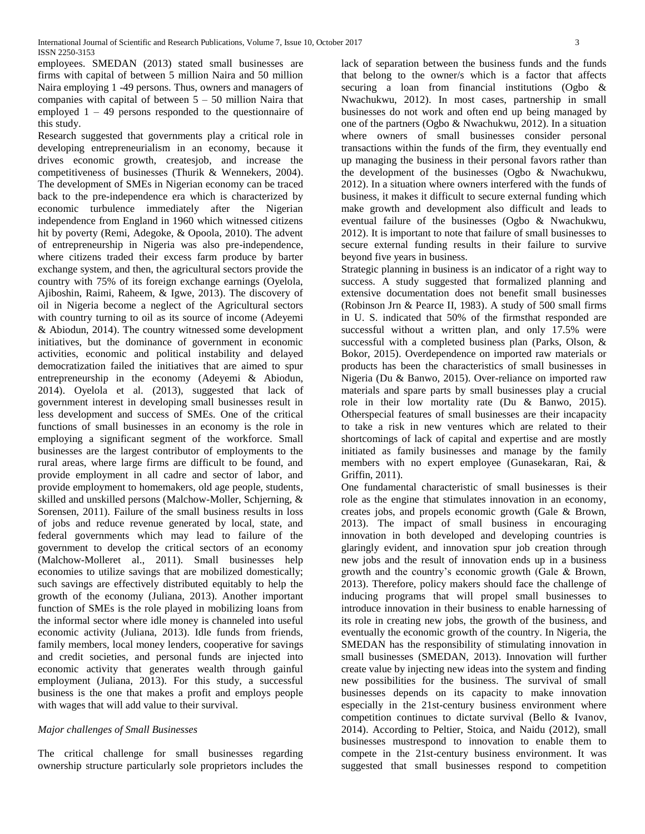employees. SMEDAN (2013) stated small businesses are firms with capital of between 5 million Naira and 50 million Naira employing 1 -49 persons. Thus, owners and managers of companies with capital of between  $5 - 50$  million Naira that employed  $1 - 49$  persons responded to the questionnaire of this study.

Research suggested that governments play a critical role in developing entrepreneurialism in an economy, because it drives economic growth, createsjob, and increase the competitiveness of businesses (Thurik & Wennekers, 2004). The development of SMEs in Nigerian economy can be traced back to the pre-independence era which is characterized by economic turbulence immediately after the Nigerian independence from England in 1960 which witnessed citizens hit by poverty (Remi, Adegoke, & Opoola, 2010). The advent of entrepreneurship in Nigeria was also pre-independence, where citizens traded their excess farm produce by barter exchange system, and then, the agricultural sectors provide the country with 75% of its foreign exchange earnings (Oyelola, Ajiboshin, Raimi, Raheem, & Igwe, 2013). The discovery of oil in Nigeria become a neglect of the Agricultural sectors with country turning to oil as its source of income (Adeyemi & Abiodun, 2014). The country witnessed some development initiatives, but the dominance of government in economic activities, economic and political instability and delayed democratization failed the initiatives that are aimed to spur entrepreneurship in the economy (Adeyemi & Abiodun, 2014). Oyelola et al. (2013), suggested that lack of government interest in developing small businesses result in less development and success of SMEs. One of the critical functions of small businesses in an economy is the role in employing a significant segment of the workforce. Small businesses are the largest contributor of employments to the rural areas, where large firms are difficult to be found, and provide employment in all cadre and sector of labor, and provide employment to homemakers, old age people, students, skilled and unskilled persons (Malchow-Moller, Schjerning, & Sorensen, 2011). Failure of the small business results in loss of jobs and reduce revenue generated by local, state, and federal governments which may lead to failure of the government to develop the critical sectors of an economy (Malchow-Molleret al., 2011). Small businesses help economies to utilize savings that are mobilized domestically; such savings are effectively distributed equitably to help the growth of the economy (Juliana, 2013). Another important function of SMEs is the role played in mobilizing loans from the informal sector where idle money is channeled into useful economic activity (Juliana, 2013). Idle funds from friends, family members, local money lenders, cooperative for savings and credit societies, and personal funds are injected into economic activity that generates wealth through gainful employment (Juliana, 2013). For this study, a successful business is the one that makes a profit and employs people with wages that will add value to their survival.

# *Major challenges of Small Businesses*

The critical challenge for small businesses regarding ownership structure particularly sole proprietors includes the lack of separation between the business funds and the funds that belong to the owner/s which is a factor that affects securing a loan from financial institutions (Ogbo & Nwachukwu, 2012). In most cases, partnership in small businesses do not work and often end up being managed by one of the partners (Ogbo & Nwachukwu, 2012). In a situation where owners of small businesses consider personal transactions within the funds of the firm, they eventually end up managing the business in their personal favors rather than the development of the businesses (Ogbo & Nwachukwu, 2012). In a situation where owners interfered with the funds of business, it makes it difficult to secure external funding which make growth and development also difficult and leads to eventual failure of the businesses (Ogbo & Nwachukwu, 2012). It is important to note that failure of small businesses to secure external funding results in their failure to survive beyond five years in business.

Strategic planning in business is an indicator of a right way to success. A study suggested that formalized planning and extensive documentation does not benefit small businesses (Robinson Jrn & Pearce II, 1983). A study of 500 small firms in U. S. indicated that 50% of the firmsthat responded are successful without a written plan, and only 17.5% were successful with a completed business plan (Parks, Olson, & Bokor, 2015). Overdependence on imported raw materials or products has been the characteristics of small businesses in Nigeria (Du & Banwo, 2015). Over-reliance on imported raw materials and spare parts by small businesses play a crucial role in their low mortality rate (Du & Banwo, 2015). Otherspecial features of small businesses are their incapacity to take a risk in new ventures which are related to their shortcomings of lack of capital and expertise and are mostly initiated as family businesses and manage by the family members with no expert employee (Gunasekaran, Rai, & Griffin, 2011).

One fundamental characteristic of small businesses is their role as the engine that stimulates innovation in an economy, creates jobs, and propels economic growth (Gale & Brown, 2013). The impact of small business in encouraging innovation in both developed and developing countries is glaringly evident, and innovation spur job creation through new jobs and the result of innovation ends up in a business growth and the country's economic growth (Gale & Brown, 2013). Therefore, policy makers should face the challenge of inducing programs that will propel small businesses to introduce innovation in their business to enable harnessing of its role in creating new jobs, the growth of the business, and eventually the economic growth of the country. In Nigeria, the SMEDAN has the responsibility of stimulating innovation in small businesses (SMEDAN, 2013). Innovation will further create value by injecting new ideas into the system and finding new possibilities for the business. The survival of small businesses depends on its capacity to make innovation especially in the 21st-century business environment where competition continues to dictate survival (Bello & Ivanov, 2014). According to Peltier, Stoica, and Naidu (2012), small businesses mustrespond to innovation to enable them to compete in the 21st-century business environment. It was suggested that small businesses respond to competition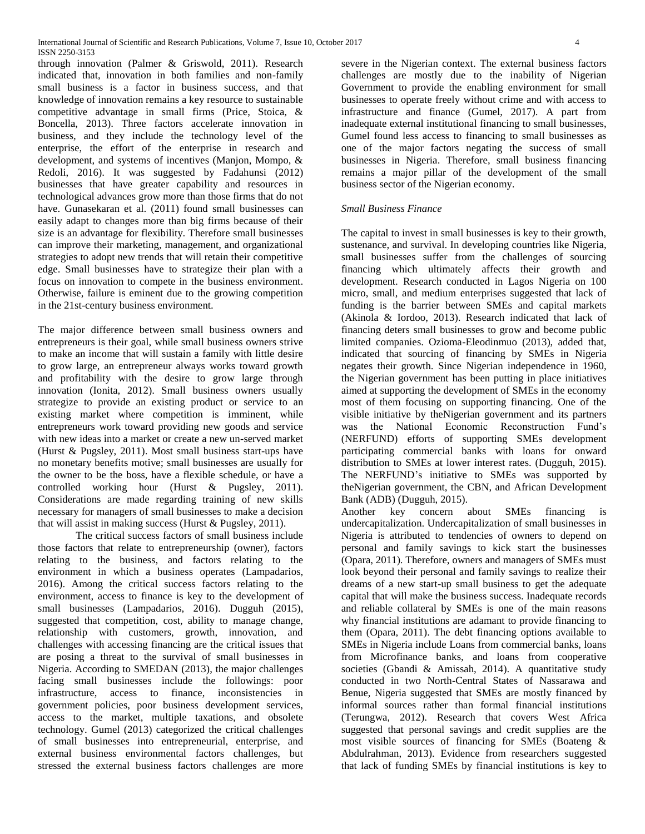through innovation (Palmer & Griswold, 2011). Research indicated that, innovation in both families and non-family small business is a factor in business success, and that knowledge of innovation remains a key resource to sustainable competitive advantage in small firms (Price, Stoica, & Boncella, 2013). Three factors accelerate innovation in business, and they include the technology level of the enterprise, the effort of the enterprise in research and development, and systems of incentives (Manjon, Mompo, & Redoli, 2016). It was suggested by Fadahunsi (2012) businesses that have greater capability and resources in technological advances grow more than those firms that do not have. Gunasekaran et al. (2011) found small businesses can easily adapt to changes more than big firms because of their size is an advantage for flexibility. Therefore small businesses can improve their marketing, management, and organizational strategies to adopt new trends that will retain their competitive edge. Small businesses have to strategize their plan with a focus on innovation to compete in the business environment. Otherwise, failure is eminent due to the growing competition in the 21st-century business environment.

The major difference between small business owners and entrepreneurs is their goal, while small business owners strive to make an income that will sustain a family with little desire to grow large, an entrepreneur always works toward growth and profitability with the desire to grow large through innovation (Ionita, 2012). Small business owners usually strategize to provide an existing product or service to an existing market where competition is imminent, while entrepreneurs work toward providing new goods and service with new ideas into a market or create a new un-served market (Hurst & Pugsley, 2011). Most small business start-ups have no monetary benefits motive; small businesses are usually for the owner to be the boss, have a flexible schedule, or have a controlled working hour (Hurst & Pugsley, 2011). Considerations are made regarding training of new skills necessary for managers of small businesses to make a decision that will assist in making success (Hurst & Pugsley, 2011).

The critical success factors of small business include those factors that relate to entrepreneurship (owner), factors relating to the business, and factors relating to the environment in which a business operates (Lampadarios, 2016). Among the critical success factors relating to the environment, access to finance is key to the development of small businesses (Lampadarios, 2016). Dugguh (2015), suggested that competition, cost, ability to manage change, relationship with customers, growth, innovation, and challenges with accessing financing are the critical issues that are posing a threat to the survival of small businesses in Nigeria. According to SMEDAN (2013), the major challenges facing small businesses include the followings: poor infrastructure, access to finance, inconsistencies in government policies, poor business development services, access to the market, multiple taxations, and obsolete technology. Gumel (2013) categorized the critical challenges of small businesses into entrepreneurial, enterprise, and external business environmental factors challenges, but stressed the external business factors challenges are more

severe in the Nigerian context. The external business factors challenges are mostly due to the inability of Nigerian Government to provide the enabling environment for small businesses to operate freely without crime and with access to infrastructure and finance (Gumel, 2017). A part from inadequate external institutional financing to small businesses, Gumel found less access to financing to small businesses as one of the major factors negating the success of small businesses in Nigeria. Therefore, small business financing remains a major pillar of the development of the small business sector of the Nigerian economy.

# *Small Business Finance*

The capital to invest in small businesses is key to their growth, sustenance, and survival. In developing countries like Nigeria, small businesses suffer from the challenges of sourcing financing which ultimately affects their growth and development. Research conducted in Lagos Nigeria on 100 micro, small, and medium enterprises suggested that lack of funding is the barrier between SMEs and capital markets (Akinola & Iordoo, 2013). Research indicated that lack of financing deters small businesses to grow and become public limited companies. Ozioma-Eleodinmuo (2013), added that, indicated that sourcing of financing by SMEs in Nigeria negates their growth. Since Nigerian independence in 1960, the Nigerian government has been putting in place initiatives aimed at supporting the development of SMEs in the economy most of them focusing on supporting financing. One of the visible initiative by theNigerian government and its partners was the National Economic Reconstruction Fund's (NERFUND) efforts of supporting SMEs development participating commercial banks with loans for onward distribution to SMEs at lower interest rates. (Dugguh, 2015). The NERFUND's initiative to SMEs was supported by theNigerian government, the CBN, and African Development Bank (ADB) (Dugguh, 2015).

Another key concern about SMEs financing is undercapitalization. Undercapitalization of small businesses in Nigeria is attributed to tendencies of owners to depend on personal and family savings to kick start the businesses (Opara, 2011). Therefore, owners and managers of SMEs must look beyond their personal and family savings to realize their dreams of a new start-up small business to get the adequate capital that will make the business success. Inadequate records and reliable collateral by SMEs is one of the main reasons why financial institutions are adamant to provide financing to them (Opara, 2011). The debt financing options available to SMEs in Nigeria include Loans from commercial banks, loans from Microfinance banks, and loans from cooperative societies (Gbandi & Amissah, 2014). A quantitative study conducted in two North-Central States of Nassarawa and Benue, Nigeria suggested that SMEs are mostly financed by informal sources rather than formal financial institutions (Terungwa, 2012). Research that covers West Africa suggested that personal savings and credit supplies are the most visible sources of financing for SMEs (Boateng & Abdulrahman, 2013). Evidence from researchers suggested that lack of funding SMEs by financial institutions is key to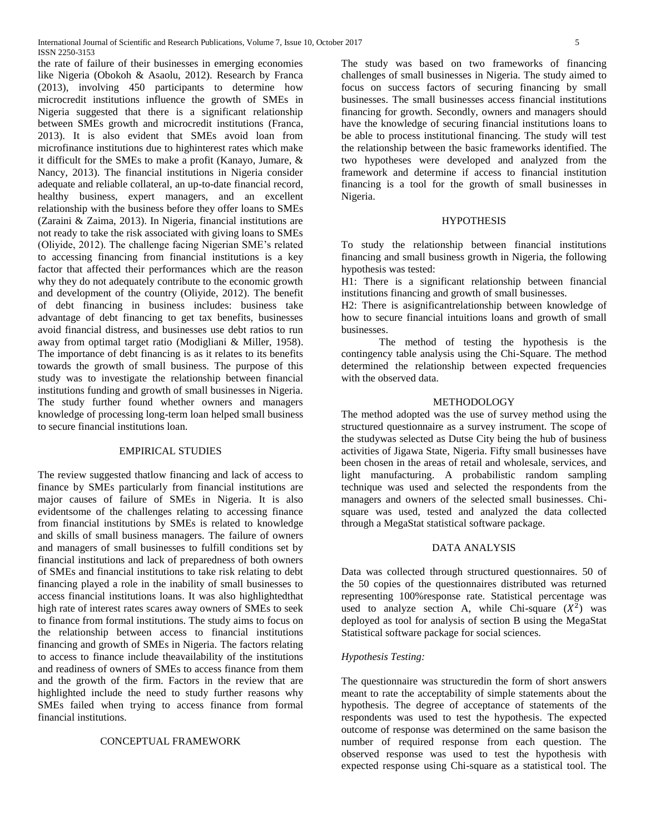the rate of failure of their businesses in emerging economies like Nigeria (Obokoh & Asaolu, 2012). Research by Franca (2013), involving 450 participants to determine how microcredit institutions influence the growth of SMEs in Nigeria suggested that there is a significant relationship between SMEs growth and microcredit institutions (Franca, 2013). It is also evident that SMEs avoid loan from microfinance institutions due to highinterest rates which make it difficult for the SMEs to make a profit (Kanayo, Jumare, & Nancy, 2013). The financial institutions in Nigeria consider adequate and reliable collateral, an up-to-date financial record, healthy business, expert managers, and an excellent relationship with the business before they offer loans to SMEs (Zaraini & Zaima, 2013). In Nigeria, financial institutions are not ready to take the risk associated with giving loans to SMEs (Oliyide, 2012). The challenge facing Nigerian SME's related to accessing financing from financial institutions is a key factor that affected their performances which are the reason why they do not adequately contribute to the economic growth and development of the country (Oliyide, 2012). The benefit of debt financing in business includes: business take advantage of debt financing to get tax benefits, businesses avoid financial distress, and businesses use debt ratios to run away from optimal target ratio (Modigliani & Miller, 1958). The importance of debt financing is as it relates to its benefits towards the growth of small business. The purpose of this study was to investigate the relationship between financial institutions funding and growth of small businesses in Nigeria. The study further found whether owners and managers knowledge of processing long-term loan helped small business to secure financial institutions loan.

## EMPIRICAL STUDIES

The review suggested thatlow financing and lack of access to finance by SMEs particularly from financial institutions are major causes of failure of SMEs in Nigeria. It is also evidentsome of the challenges relating to accessing finance from financial institutions by SMEs is related to knowledge and skills of small business managers. The failure of owners and managers of small businesses to fulfill conditions set by financial institutions and lack of preparedness of both owners of SMEs and financial institutions to take risk relating to debt financing played a role in the inability of small businesses to access financial institutions loans. It was also highlightedthat high rate of interest rates scares away owners of SMEs to seek to finance from formal institutions. The study aims to focus on the relationship between access to financial institutions financing and growth of SMEs in Nigeria. The factors relating to access to finance include theavailability of the institutions and readiness of owners of SMEs to access finance from them and the growth of the firm. Factors in the review that are highlighted include the need to study further reasons why SMEs failed when trying to access finance from formal financial institutions.

#### CONCEPTUAL FRAMEWORK

The study was based on two frameworks of financing challenges of small businesses in Nigeria. The study aimed to focus on success factors of securing financing by small businesses. The small businesses access financial institutions financing for growth. Secondly, owners and managers should have the knowledge of securing financial institutions loans to be able to process institutional financing. The study will test the relationship between the basic frameworks identified. The two hypotheses were developed and analyzed from the framework and determine if access to financial institution financing is a tool for the growth of small businesses in Nigeria.

## HYPOTHESIS

To study the relationship between financial institutions financing and small business growth in Nigeria, the following hypothesis was tested:

H1: There is a significant relationship between financial institutions financing and growth of small businesses.

H2: There is asignificantrelationship between knowledge of how to secure financial intuitions loans and growth of small businesses.

The method of testing the hypothesis is the contingency table analysis using the Chi-Square. The method determined the relationship between expected frequencies with the observed data.

#### METHODOLOGY

The method adopted was the use of survey method using the structured questionnaire as a survey instrument. The scope of the studywas selected as Dutse City being the hub of business activities of Jigawa State, Nigeria. Fifty small businesses have been chosen in the areas of retail and wholesale, services, and light manufacturing. A probabilistic random sampling technique was used and selected the respondents from the managers and owners of the selected small businesses. Chisquare was used, tested and analyzed the data collected through a MegaStat statistical software package.

# DATA ANALYSIS

Data was collected through structured questionnaires. 50 of the 50 copies of the questionnaires distributed was returned representing 100%response rate. Statistical percentage was used to analyze section A, while Chi-square  $(X^2)$  was deployed as tool for analysis of section B using the MegaStat Statistical software package for social sciences.

## *Hypothesis Testing:*

The questionnaire was structuredin the form of short answers meant to rate the acceptability of simple statements about the hypothesis. The degree of acceptance of statements of the respondents was used to test the hypothesis. The expected outcome of response was determined on the same basison the number of required response from each question. The observed response was used to test the hypothesis with expected response using Chi-square as a statistical tool. The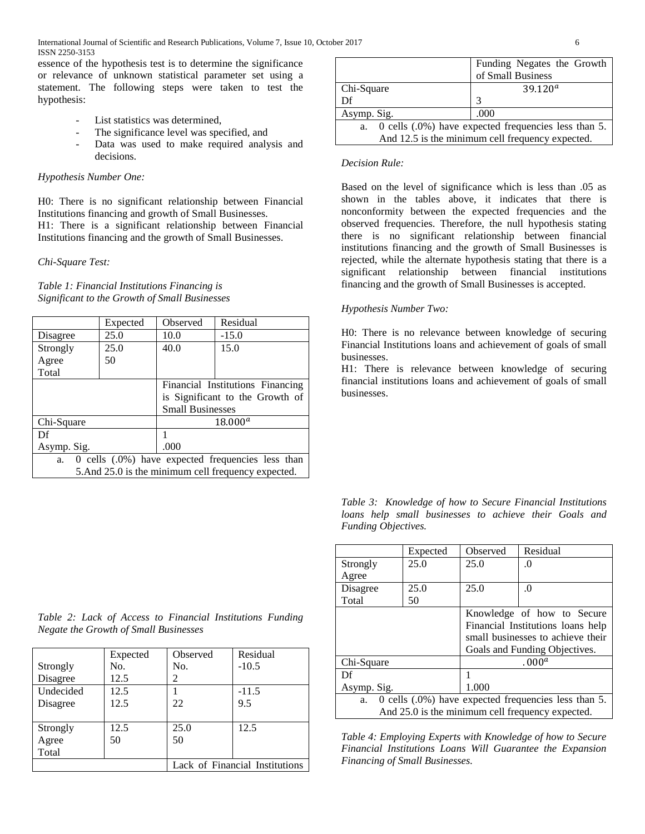essence of the hypothesis test is to determine the significance or relevance of unknown statistical parameter set using a statement. The following steps were taken to test the hypothesis:

- List statistics was determined,
- The significance level was specified, and
- Data was used to make required analysis and decisions.

#### *Hypothesis Number One:*

H0: There is no significant relationship between Financial Institutions financing and growth of Small Businesses. H1: There is a significant relationship between Financial Institutions financing and the growth of Small Businesses.

#### *Chi-Square Test:*

*Table 1: Financial Institutions Financing is Significant to the Growth of Small Businesses*

|                                                         | Expected | Observed                         | Residual |  |
|---------------------------------------------------------|----------|----------------------------------|----------|--|
| Disagree                                                | 25.0     | 10.0                             | $-15.0$  |  |
| Strongly                                                | 25.0     | 40.0                             | 15.0     |  |
| Agree                                                   | 50       |                                  |          |  |
| Total                                                   |          |                                  |          |  |
|                                                         |          | Financial Institutions Financing |          |  |
|                                                         |          | is Significant to the Growth of  |          |  |
|                                                         |          | <b>Small Businesses</b>          |          |  |
| $18.000^a$<br>Chi-Square                                |          |                                  |          |  |
| Df                                                      |          |                                  |          |  |
| Asymp. Sig.                                             |          | .000                             |          |  |
| 0 cells (.0%) have expected frequencies less than<br>a. |          |                                  |          |  |
| 5. And 25.0 is the minimum cell frequency expected.     |          |                                  |          |  |

|                                                                 | Funding Negates the Growth |  |  |
|-----------------------------------------------------------------|----------------------------|--|--|
|                                                                 | of Small Business          |  |  |
| Chi-Square                                                      | 39.120 <sup>a</sup>        |  |  |
| Df                                                              | 3                          |  |  |
| Asymp. Sig.                                                     | .000                       |  |  |
| $0$ cells $(.0\%)$ have expected frequencies less than 5.<br>a. |                            |  |  |
| And 12.5 is the minimum cell frequency expected.                |                            |  |  |

# *Decision Rule:*

Based on the level of significance which is less than .05 as shown in the tables above, it indicates that there is nonconformity between the expected frequencies and the observed frequencies. Therefore, the null hypothesis stating there is no significant relationship between financial institutions financing and the growth of Small Businesses is rejected, while the alternate hypothesis stating that there is a significant relationship between financial institutions financing and the growth of Small Businesses is accepted.

#### *Hypothesis Number Two:*

H0: There is no relevance between knowledge of securing Financial Institutions loans and achievement of goals of small businesses.

H1: There is relevance between knowledge of securing financial institutions loans and achievement of goals of small businesses.

|  |                            | Table 3: Knowledge of how to Secure Financial Institutions |  |  |  |
|--|----------------------------|------------------------------------------------------------|--|--|--|
|  |                            | loans help small businesses to achieve their Goals and     |  |  |  |
|  | <i>Funding Objectives.</i> |                                                            |  |  |  |

|                                                                 | Expected | Observed                          | Residual |  |
|-----------------------------------------------------------------|----------|-----------------------------------|----------|--|
| Strongly                                                        | 25.0     | 25.0                              | .0       |  |
| Agree                                                           |          |                                   |          |  |
| Disagree                                                        | 25.0     | 25.0                              | $\Omega$ |  |
| Total                                                           | 50       |                                   |          |  |
|                                                                 |          | Knowledge of how to Secure        |          |  |
|                                                                 |          | Financial Institutions loans help |          |  |
|                                                                 |          | small businesses to achieve their |          |  |
|                                                                 |          | Goals and Funding Objectives.     |          |  |
| Chi-Square                                                      |          | .000 <sup>a</sup>                 |          |  |
| Df                                                              |          |                                   |          |  |
| Asymp. Sig.                                                     |          | 1.000                             |          |  |
| $0$ cells $(.0\%)$ have expected frequencies less than 5.<br>a. |          |                                   |          |  |
| And 25.0 is the minimum cell frequency expected.                |          |                                   |          |  |

*Table 4: Employing Experts with Knowledge of how to Secure Financial Institutions Loans Will Guarantee the Expansion Financing of Small Businesses.* 

*Table 2: Lack of Access to Financial Institutions Funding Negate the Growth of Small Businesses*

| Strongly<br>Disagree       | Expected<br>No.<br>12.5 | Observed<br>No.<br>2           | Residual<br>$-10.5$ |
|----------------------------|-------------------------|--------------------------------|---------------------|
| Undecided<br>Disagree      | 12.5<br>12.5            | 22                             | $-11.5$<br>9.5      |
| Strongly<br>Agree<br>Total | 12.5<br>50              | 25.0<br>50                     | 12.5                |
|                            |                         | Lack of Financial Institutions |                     |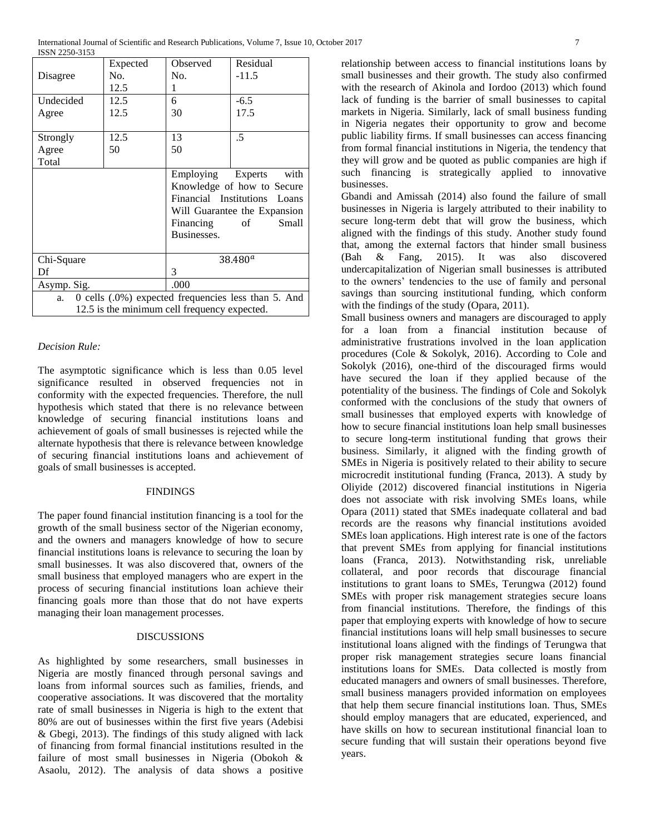|                                                                | Expected | Observed                     | Residual                     |  |
|----------------------------------------------------------------|----------|------------------------------|------------------------------|--|
| Disagree                                                       | No.      | No.                          | $-11.5$                      |  |
|                                                                | 12.5     | 1                            |                              |  |
| Undecided                                                      | 12.5     | 6                            | $-6.5$                       |  |
| Agree                                                          | 12.5     | 30                           | 17.5                         |  |
|                                                                |          |                              |                              |  |
| Strongly                                                       | 12.5     | 13                           | .5                           |  |
| Agree                                                          | 50       | 50                           |                              |  |
| Total                                                          |          |                              |                              |  |
|                                                                |          |                              | Employing Experts with       |  |
|                                                                |          | Knowledge of how to Secure   |                              |  |
|                                                                |          |                              | Financial Institutions Loans |  |
|                                                                |          | Will Guarantee the Expansion |                              |  |
|                                                                |          | Financing                    | Small<br>of                  |  |
|                                                                |          | Businesses.                  |                              |  |
|                                                                |          |                              |                              |  |
| Chi-Square                                                     |          | $38.480^{a}$                 |                              |  |
| Df                                                             |          | 3                            |                              |  |
| Asymp. Sig.                                                    |          | .000                         |                              |  |
| $0$ cells $(.0\%)$ expected frequencies less than 5. And<br>a. |          |                              |                              |  |
| 12.5 is the minimum cell frequency expected.                   |          |                              |                              |  |

#### *Decision Rule:*

The asymptotic significance which is less than 0.05 level significance resulted in observed frequencies not in conformity with the expected frequencies. Therefore, the null hypothesis which stated that there is no relevance between knowledge of securing financial institutions loans and achievement of goals of small businesses is rejected while the alternate hypothesis that there is relevance between knowledge of securing financial institutions loans and achievement of goals of small businesses is accepted.

#### FINDINGS

The paper found financial institution financing is a tool for the growth of the small business sector of the Nigerian economy, and the owners and managers knowledge of how to secure financial institutions loans is relevance to securing the loan by small businesses. It was also discovered that, owners of the small business that employed managers who are expert in the process of securing financial institutions loan achieve their financing goals more than those that do not have experts managing their loan management processes.

#### DISCUSSIONS

As highlighted by some researchers, small businesses in Nigeria are mostly financed through personal savings and loans from informal sources such as families, friends, and cooperative associations. It was discovered that the mortality rate of small businesses in Nigeria is high to the extent that 80% are out of businesses within the first five years (Adebisi & Gbegi, 2013). The findings of this study aligned with lack of financing from formal financial institutions resulted in the failure of most small businesses in Nigeria (Obokoh & Asaolu, 2012). The analysis of data shows a positive

relationship between access to financial institutions loans by small businesses and their growth. The study also confirmed with the research of Akinola and Iordoo (2013) which found lack of funding is the barrier of small businesses to capital markets in Nigeria. Similarly, lack of small business funding in Nigeria negates their opportunity to grow and become public liability firms. If small businesses can access financing from formal financial institutions in Nigeria, the tendency that they will grow and be quoted as public companies are high if such financing is strategically applied to innovative businesses.

Gbandi and Amissah (2014) also found the failure of small businesses in Nigeria is largely attributed to their inability to secure long-term debt that will grow the business, which aligned with the findings of this study. Another study found that, among the external factors that hinder small business (Bah & Fang, 2015). It was also discovered undercapitalization of Nigerian small businesses is attributed to the owners' tendencies to the use of family and personal savings than sourcing institutional funding, which conform with the findings of the study (Opara, 2011).

Small business owners and managers are discouraged to apply for a loan from a financial institution because of administrative frustrations involved in the loan application procedures (Cole & Sokolyk, 2016). According to Cole and Sokolyk (2016), one-third of the discouraged firms would have secured the loan if they applied because of the potentiality of the business. The findings of Cole and Sokolyk conformed with the conclusions of the study that owners of small businesses that employed experts with knowledge of how to secure financial institutions loan help small businesses to secure long-term institutional funding that grows their business. Similarly, it aligned with the finding growth of SMEs in Nigeria is positively related to their ability to secure microcredit institutional funding (Franca, 2013). A study by Oliyide (2012) discovered financial institutions in Nigeria does not associate with risk involving SMEs loans, while Opara (2011) stated that SMEs inadequate collateral and bad records are the reasons why financial institutions avoided SMEs loan applications. High interest rate is one of the factors that prevent SMEs from applying for financial institutions loans (Franca, 2013). Notwithstanding risk, unreliable collateral, and poor records that discourage financial institutions to grant loans to SMEs, Terungwa (2012) found SMEs with proper risk management strategies secure loans from financial institutions. Therefore, the findings of this paper that employing experts with knowledge of how to secure financial institutions loans will help small businesses to secure institutional loans aligned with the findings of Terungwa that proper risk management strategies secure loans financial institutions loans for SMEs. Data collected is mostly from educated managers and owners of small businesses. Therefore, small business managers provided information on employees that help them secure financial institutions loan. Thus, SMEs should employ managers that are educated, experienced, and have skills on how to securean institutional financial loan to secure funding that will sustain their operations beyond five years.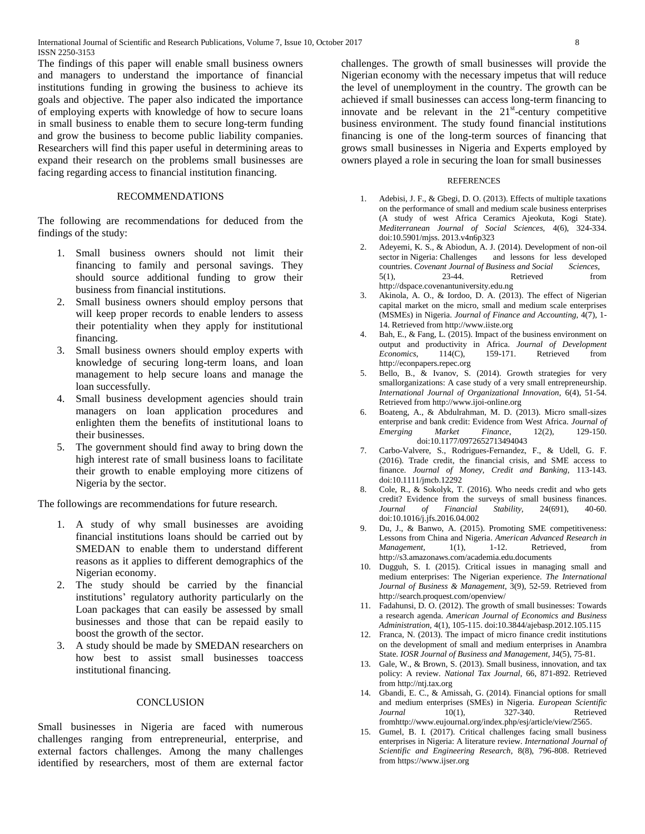The findings of this paper will enable small business owners and managers to understand the importance of financial institutions funding in growing the business to achieve its goals and objective. The paper also indicated the importance of employing experts with knowledge of how to secure loans in small business to enable them to secure long-term funding and grow the business to become public liability companies. Researchers will find this paper useful in determining areas to expand their research on the problems small businesses are facing regarding access to financial institution financing.

# RECOMMENDATIONS

The following are recommendations for deduced from the findings of the study:

- 1. Small business owners should not limit their financing to family and personal savings. They should source additional funding to grow their business from financial institutions.
- 2. Small business owners should employ persons that will keep proper records to enable lenders to assess their potentiality when they apply for institutional financing.
- 3. Small business owners should employ experts with knowledge of securing long-term loans, and loan management to help secure loans and manage the loan successfully.
- 4. Small business development agencies should train managers on loan application procedures and enlighten them the benefits of institutional loans to their businesses.
- 5. The government should find away to bring down the high interest rate of small business loans to facilitate their growth to enable employing more citizens of Nigeria by the sector.

The followings are recommendations for future research.

- 1. A study of why small businesses are avoiding financial institutions loans should be carried out by SMEDAN to enable them to understand different reasons as it applies to different demographics of the Nigerian economy.
- 2. The study should be carried by the financial institutions' regulatory authority particularly on the Loan packages that can easily be assessed by small businesses and those that can be repaid easily to boost the growth of the sector.
- 3. A study should be made by SMEDAN researchers on how best to assist small businesses toaccess institutional financing.

#### **CONCLUSION**

Small businesses in Nigeria are faced with numerous challenges ranging from entrepreneurial, enterprise, and external factors challenges. Among the many challenges identified by researchers, most of them are external factor challenges. The growth of small businesses will provide the Nigerian economy with the necessary impetus that will reduce the level of unemployment in the country. The growth can be achieved if small businesses can access long-term financing to innovate and be relevant in the  $21<sup>st</sup>$ -century competitive business environment. The study found financial institutions financing is one of the long-term sources of financing that grows small businesses in Nigeria and Experts employed by owners played a role in securing the loan for small businesses

#### **REFERENCES**

- 1. Adebisi, J. F., & Gbegi, D. O. (2013). Effects of multiple taxations on the performance of small and medium scale business enterprises (A study of west Africa Ceramics Ajeokuta, Kogi State). *Mediterranean Journal of Social Sciences,* 4(6), 324-334. doi:10.5901/mjss. 2013.v4n6p323
- 2. Adeyemi, K. S., & Abiodun, A. J. (2014). Development of non-oil sector in Nigeria: Challenges and lessons for less developed countries. *Covenant Journal of Business and Social Sciences,* 5(1), 23-44. Retrieved from http://dspace.covenantuniversity.edu.ng
- 3. Akinola, A. O., & Iordoo, D. A. (2013). The effect of Nigerian capital market on the micro, small and medium scale enterprises (MSMEs) in Nigeria. *Journal of Finance and Accounting,* 4(7), 1- 14. Retrieved from http://www.iiste.org
- 4. Bah, E., & Fang, L. (2015). Impact of the business environment on output and productivity in Africa*. Journal of Development Economics*, 114(C), 159-171. Retrieved from [http://econpapers.repec.org](http://econpapers.repec.org/)
- 5. Bello, B., & Ivanov, S. (2014). Growth strategies for very smallorganizations: A case study of a very small entrepreneurship. *International Journal of Organizational Innovation,* 6(4), 51-54. Retrieved from http://www.ijoi-online.org
- 6. Boateng, A., & Abdulrahman, M. D. (2013). Micro small-sizes enterprise and bank credit: Evidence from West Africa. *Journal of Emerging Market Finance*, 12(2), 129-150. doi:10.1177/0972652713494043
- 7. Carbo-Valvere, S., Rodrigues-Fernandez, F., & Udell, G. F. (2016). Trade credit, the financial crisis, and SME access to finance. *Journal of Money, Credit and Banking,* 113-143. doi:10.1111/jmcb.12292
- 8. Cole, R., & Sokolyk, T. (2016). Who needs credit and who gets credit? Evidence from the surveys of small business finances. *Journal of Financial Stability,* 24(691), 40-60. doi:10.1016/j.jfs.2016.04.002
- Du, J., & Banwo, A. (2015). Promoting SME competitiveness: Lessons from China and Nigeria. *American Advanced Research in Management*, 1(1), 1-12. Retrieved, from http://s3.amazonaws.com/academia.edu.documents
- 10. Dugguh, S. I. (2015). Critical issues in managing small and medium enterprises: The Nigerian experience. *The International Journal of Business & Management*, 3(9), 52-59. Retrieved from <http://search.proquest.com/openview/>
- 11. Fadahunsi, D. O. (2012). The growth of small businesses: Towards a research agenda. *American Journal of Economics and Business Administration,* 4(1), 105-115. doi:10.3844/ajebasp.2012.105.115
- 12. Franca, N. (2013). The impact of micro finance credit institutions on the development of small and medium enterprises in Anambra State. *IOSR Journal of Business and Management,* J4(5), 75-81.
- 13. Gale, W., & Brown, S. (2013). Small business, innovation, and tax policy: A review. *National Tax Journal,* 66, 871-892. Retrieved from http://ntj.tax.org
- 14. Gbandi, E. C., & Amissah, G. (2014). Financial options for small and medium enterprises (SMEs) in Nigeria*. European Scientific Journal* 10(1), 327-340. Retrieved fro[mhttp://www.eujournal.org/index.php/esj/article/view/2565.](http://www.eujournal.org/index.php/esj/article/view/2565)
- 15. Gumel, B. I. (2017). Critical challenges facing small business enterprises in Nigeria: A literature review. *International Journal of Scientific and Engineering Research,* 8(8), 796-808. Retrieved from https://www.ijser.org